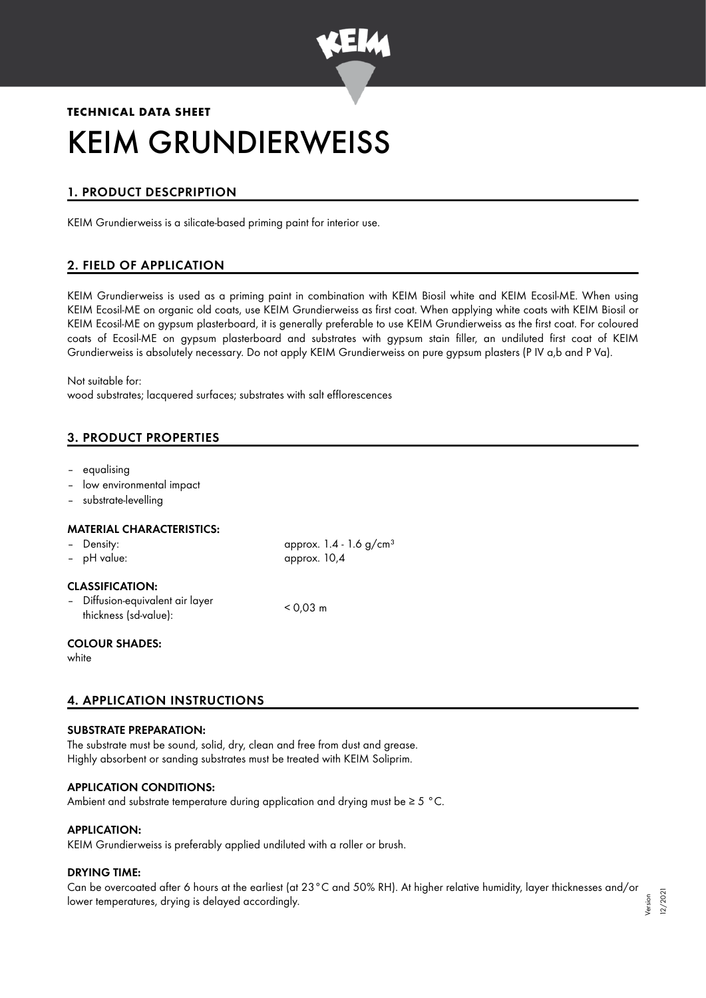

# **TECHNICAL DATA SHEET** KEIM GRUNDIERWEISS

## 1. PRODUCT DESCPRIPTION

KEIM Grundierweiss is a silicate-based priming paint for interior use.

## 2. FIELD OF APPLICATION

KEIM Grundierweiss is used as a priming paint in combination with KEIM Biosil white and KEIM Ecosil-ME. When using KEIM Ecosil-ME on organic old coats, use KEIM Grundierweiss as first coat. When applying white coats with KEIM Biosil or KEIM Ecosil-ME on gypsum plasterboard, it is generally preferable to use KEIM Grundierweiss as the first coat. For coloured coats of Ecosil-ME on gypsum plasterboard and substrates with gypsum stain filler, an undiluted first coat of KEIM Grundierweiss is absolutely necessary. Do not apply KEIM Grundierweiss on pure gypsum plasters (P IV a,b and P Va).

Not suitable for: wood substrates; lacquered surfaces; substrates with salt efflorescences

## 3. PRODUCT PROPERTIES

- equalising
- low environmental impact
- substrate-levelling

#### MATERIAL CHARACTERISTICS:

| - Density:<br>- pH value:                                                           | approx. 1.4 - 1.6 g/cm <sup>3</sup><br>approx. 10,4 |
|-------------------------------------------------------------------------------------|-----------------------------------------------------|
| <b>CLASSIFICATION:</b><br>- Diffusion-equivalent air layer<br>thickness (sd-value): | $< 0.03$ m                                          |
| <b>COLOUR SHADES:</b>                                                               |                                                     |

white

## 4. APPLICATION INSTRUCTIONS

#### SUBSTRATE PREPARATION:

The substrate must be sound, solid, dry, clean and free from dust and grease. Highly absorbent or sanding substrates must be treated with KEIM Soliprim.

#### APPLICATION CONDITIONS:

Ambient and substrate temperature during application and drying must be ≥ 5 °C.

#### APPLICATION:

KEIM Grundierweiss is preferably applied undiluted with a roller or brush.

#### DRYING TIME:

Can be overcoated after 6 hours at the earliest (at 23°C and 50% RH). At higher relative humidity, layer thicknesses and/or lower temperatures, drying is delayed accordingly. Version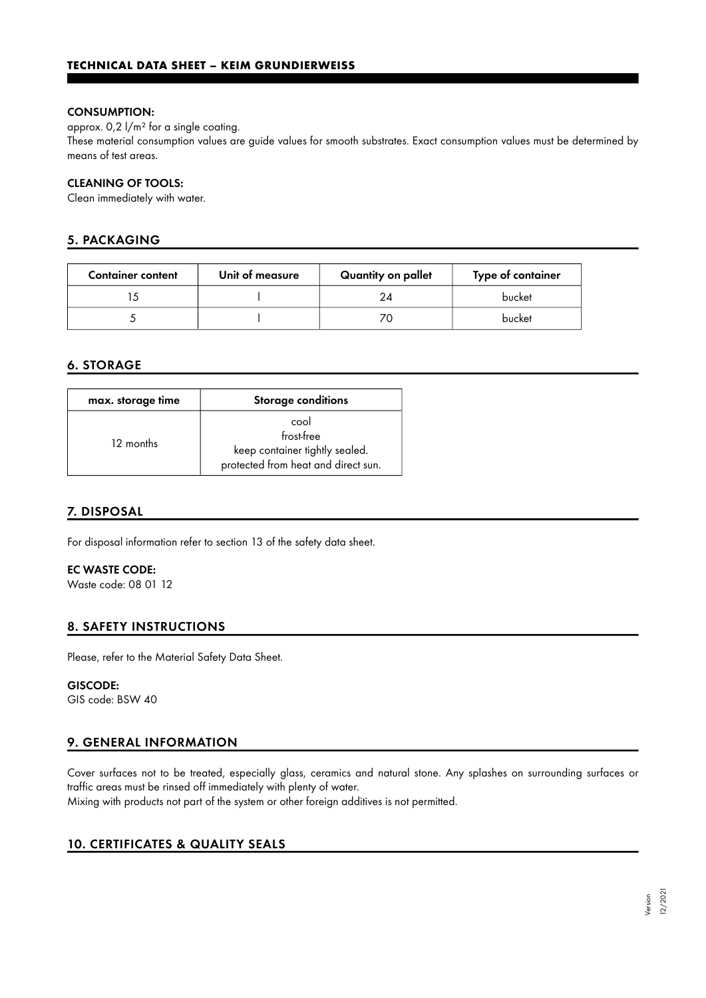#### CONSUMPTION:

approx. 0,2 l/m² for a single coating.

These material consumption values are guide values for smooth substrates. Exact consumption values must be determined by means of test areas.

#### CLEANING OF TOOLS:

Clean immediately with water.

## 5. PACKAGING

| <b>Container content</b> | Unit of measure | Quantity on pallet | Type of container |
|--------------------------|-----------------|--------------------|-------------------|
|                          |                 | 24                 | bucket            |
|                          |                 |                    | bucket            |

## 6. STORAGE

| max. storage time | <b>Storage conditions</b>                                                                   |
|-------------------|---------------------------------------------------------------------------------------------|
| 12 months         | cool<br>frost-free<br>keep container tightly sealed.<br>protected from heat and direct sun. |

#### 7. DISPOSAL

For disposal information refer to section 13 of the safety data sheet.

### EC WASTE CODE:

Waste code: 08 01 12

#### 8. SAFETY INSTRUCTIONS

Please, refer to the Material Safety Data Sheet.

#### GISCODE:

GIS code: BSW 40

## 9. GENERAL INFORMATION

Cover surfaces not to be treated, especially glass, ceramics and natural stone. Any splashes on surrounding surfaces or traffic areas must be rinsed off immediately with plenty of water.

Mixing with products not part of the system or other foreign additives is not permitted.

#### 10. CERTIFICATES & QUALITY SEALS